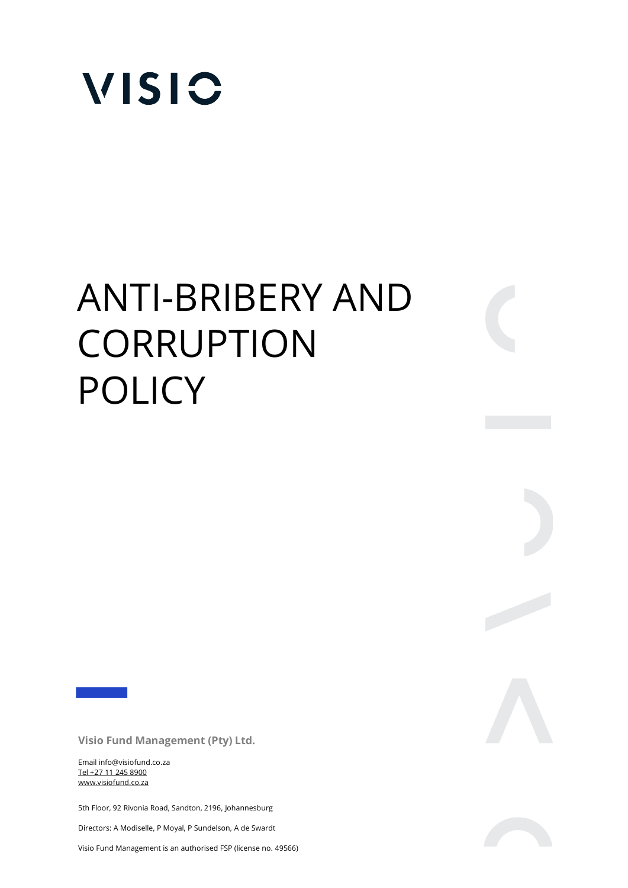

# ANTI-BRIBERY AND CORRUPTION POLICY

**Visio Fund Management (Pty) Ltd.** 

Email info@visiofund.co.za Tel +27 11 245 8900 www.visiofund.co.za

5th Floor, 92 Rivonia Road, Sandton, 2196, Johannesburg

Directors: A Modiselle, P Moyal, P Sundelson, A de Swardt

Visio Fund Management is an authorised FSP (license no. 49566)



 $\begin{array}{c} \begin{array}{c} \begin{array}{c} \end{array} \\ \begin{array}{c} \end{array} \end{array} \end{array}$ 

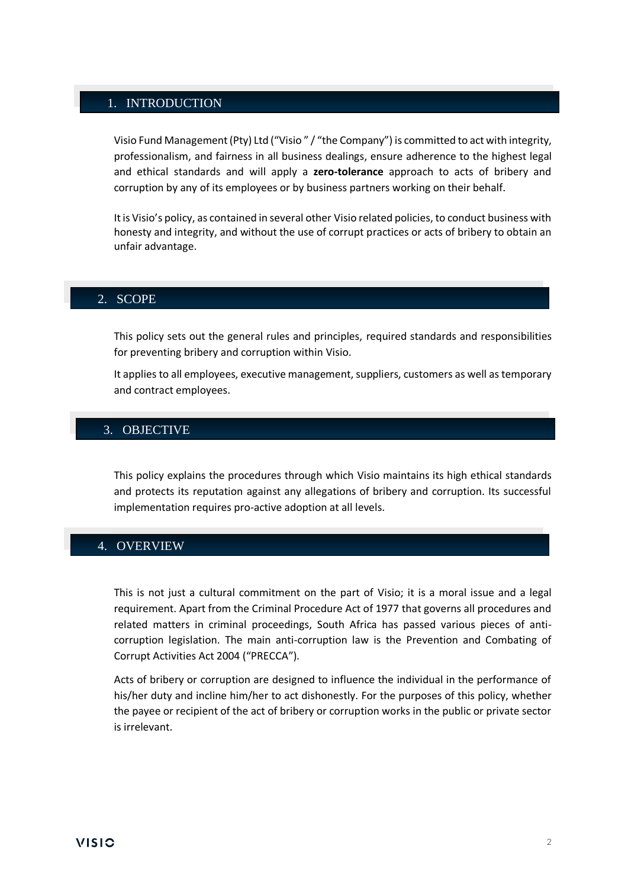# 1. INTRODUCTION

Visio Fund Management (Pty) Ltd ("Visio " / "the Company") is committed to act with integrity, professionalism, and fairness in all business dealings, ensure adherence to the highest legal and ethical standards and will apply a **zero-tolerance** approach to acts of bribery and corruption by any of its employees or by business partners working on their behalf.

It is Visio's policy, as contained in several other Visio related policies, to conduct business with honesty and integrity, and without the use of corrupt practices or acts of bribery to obtain an unfair advantage.

#### 2. SCOPE

This policy sets out the general rules and principles, required standards and responsibilities for preventing bribery and corruption within Visio.

It applies to all employees, executive management, suppliers, customers as well as temporary and contract employees.

## 3. OBJECTIVE

This policy explains the procedures through which Visio maintains its high ethical standards and protects its reputation against any allegations of bribery and corruption. Its successful implementation requires pro-active adoption at all levels.

#### 4. OVERVIEW

This is not just a cultural commitment on the part of Visio; it is a moral issue and a legal requirement. Apart from the Criminal Procedure Act of 1977 that governs all procedures and related matters in criminal proceedings, South Africa has passed various pieces of anticorruption legislation. The main anti-corruption law is the Prevention and Combating of Corrupt Activities Act 2004 ("PRECCA").

Acts of bribery or corruption are designed to influence the individual in the performance of his/her duty and incline him/her to act dishonestly. For the purposes of this policy, whether the payee or recipient of the act of bribery or corruption works in the public or private sector is irrelevant.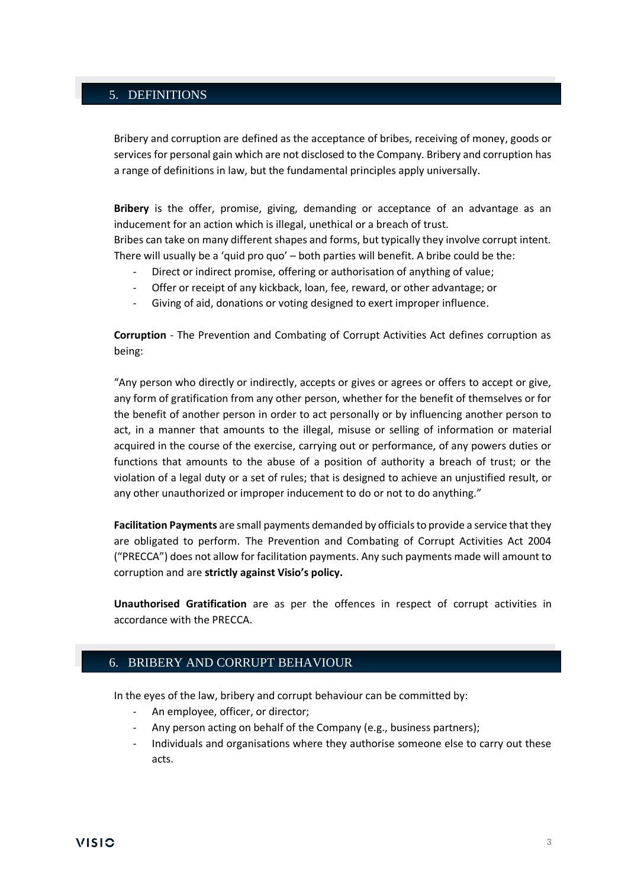## 5. DEFINITIONS

Bribery and corruption are defined as the acceptance of bribes, receiving of money, goods or services for personal gain which are not disclosed to the Company. Bribery and corruption has a range of definitions in law, but the fundamental principles apply universally.

**Bribery** is the offer, promise, giving, demanding or acceptance of an advantage as an inducement for an action which is illegal, unethical or a breach of trust. Bribes can take on many different shapes and forms, but typically they involve corrupt intent. There will usually be a 'quid pro quo' – both parties will benefit. A bribe could be the:

- Direct or indirect promise, offering or authorisation of anything of value;
- Offer or receipt of any kickback, loan, fee, reward, or other advantage; or
- Giving of aid, donations or voting designed to exert improper influence.

**Corruption** - The Prevention and Combating of Corrupt Activities Act defines corruption as being:

"Any person who directly or indirectly, accepts or gives or agrees or offers to accept or give, any form of gratification from any other person, whether for the benefit of themselves or for the benefit of another person in order to act personally or by influencing another person to act, in a manner that amounts to the illegal, misuse or selling of information or material acquired in the course of the exercise, carrying out or performance, of any powers duties or functions that amounts to the abuse of a position of authority a breach of trust; or the violation of a legal duty or a set of rules; that is designed to achieve an unjustified result, or any other unauthorized or improper inducement to do or not to do anything."

**Facilitation Payments** are small payments demanded by officials to provide a service that they are obligated to perform. The Prevention and Combating of Corrupt Activities Act 2004 ("PRECCA") does not allow for facilitation payments. Any such payments made will amount to corruption and are **strictly against Visio's policy.**

**Unauthorised Gratification** are as per the offences in respect of corrupt activities in accordance with the PRECCA.

## 6. BRIBERY AND CORRUPT BEHAVIOUR

In the eyes of the law, bribery and corrupt behaviour can be committed by:

- An employee, officer, or director;
- Any person acting on behalf of the Company (e.g., business partners);
- Individuals and organisations where they authorise someone else to carry out these acts.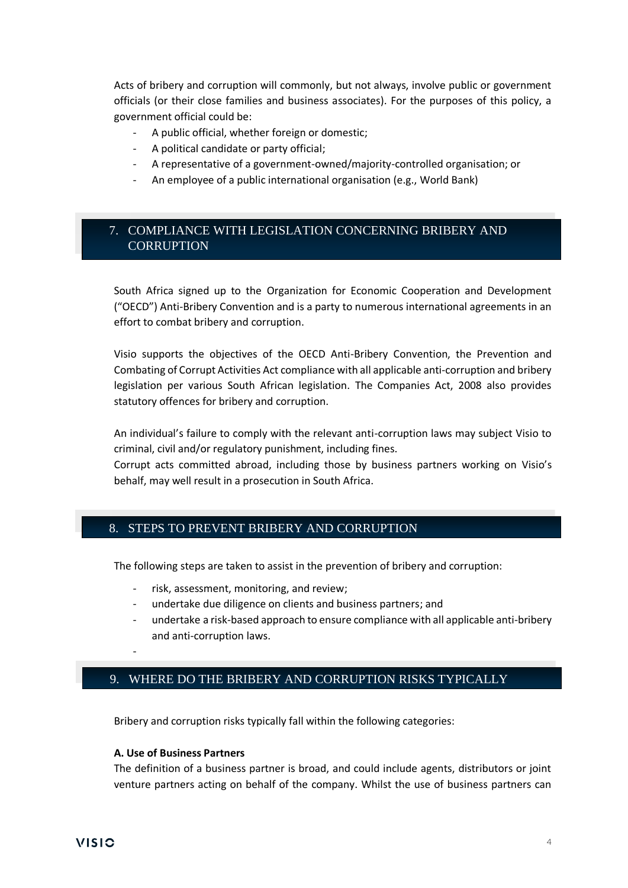Acts of bribery and corruption will commonly, but not always, involve public or government officials (or their close families and business associates). For the purposes of this policy, a government official could be:

- A public official, whether foreign or domestic;
- A political candidate or party official;
- A representative of a government-owned/majority-controlled organisation; or
- An employee of a public international organisation (e.g., World Bank)

# 7. COMPLIANCE WITH LEGISLATION CONCERNING BRIBERY AND **CORRUPTION**

South Africa signed up to the Organization for Economic Cooperation and Development ("OECD") Anti-Bribery Convention and is a party to numerous international agreements in an effort to combat bribery and corruption.

Visio supports the objectives of the OECD Anti-Bribery Convention, the Prevention and Combating of Corrupt Activities Act compliance with all applicable anti-corruption and bribery legislation per various South African legislation. The Companies Act, 2008 also provides statutory offences for bribery and corruption.

An individual's failure to comply with the relevant anti-corruption laws may subject Visio to criminal, civil and/or regulatory punishment, including fines.

Corrupt acts committed abroad, including those by business partners working on Visio's behalf, may well result in a prosecution in South Africa.

## 8. STEPS TO PREVENT BRIBERY AND CORRUPTION

The following steps are taken to assist in the prevention of bribery and corruption:

- risk, assessment, monitoring, and review;
- undertake due diligence on clients and business partners; and
- undertake a risk-based approach to ensure compliance with all applicable anti-bribery and anti-corruption laws.

## 9. WHERE DO THE BRIBERY AND CORRUPTION RISKS TYPICALLY

Bribery and corruption risks typically fall within the following categories:

#### **A. Use of Business Partners**

-

ARISE?

The definition of a business partner is broad, and could include agents, distributors or joint venture partners acting on behalf of the company. Whilst the use of business partners can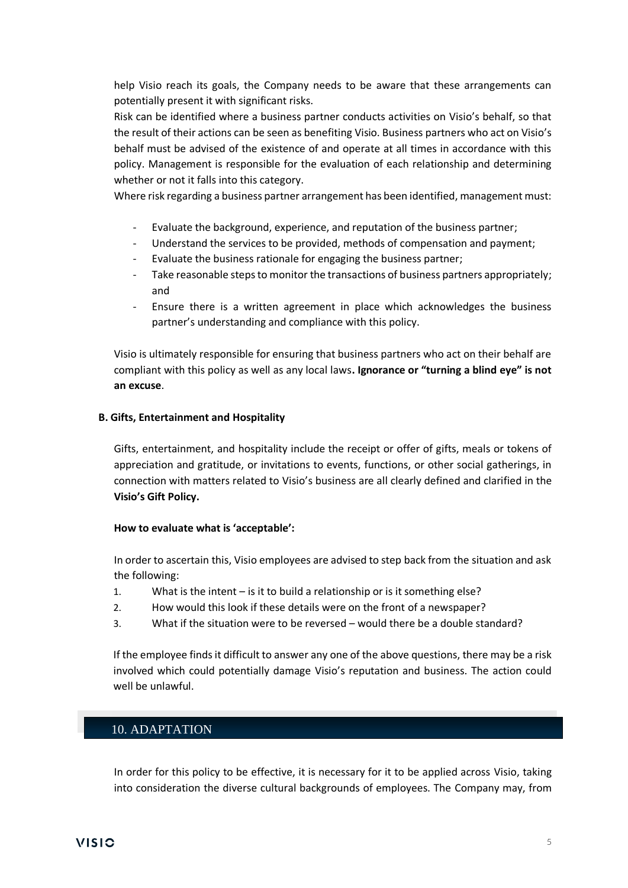help Visio reach its goals, the Company needs to be aware that these arrangements can potentially present it with significant risks.

Risk can be identified where a business partner conducts activities on Visio's behalf, so that the result of their actions can be seen as benefiting Visio. Business partners who act on Visio's behalf must be advised of the existence of and operate at all times in accordance with this policy. Management is responsible for the evaluation of each relationship and determining whether or not it falls into this category.

Where risk regarding a business partner arrangement has been identified, management must:

- Evaluate the background, experience, and reputation of the business partner;
- Understand the services to be provided, methods of compensation and payment;
- Evaluate the business rationale for engaging the business partner;
- Take reasonable steps to monitor the transactions of business partners appropriately; and
- Ensure there is a written agreement in place which acknowledges the business partner's understanding and compliance with this policy.

Visio is ultimately responsible for ensuring that business partners who act on their behalf are compliant with this policy as well as any local laws**. Ignorance or "turning a blind eye" is not an excuse**.

#### **B. Gifts, Entertainment and Hospitality**

Gifts, entertainment, and hospitality include the receipt or offer of gifts, meals or tokens of appreciation and gratitude, or invitations to events, functions, or other social gatherings, in connection with matters related to Visio's business are all clearly defined and clarified in the **Visio's Gift Policy.**

#### **How to evaluate what is 'acceptable':**

In order to ascertain this, Visio employees are advised to step back from the situation and ask the following:

- 1. What is the intent is it to build a relationship or is it something else?
- 2. How would this look if these details were on the front of a newspaper?
- 3. What if the situation were to be reversed would there be a double standard?

If the employee finds it difficult to answer any one of the above questions, there may be a risk involved which could potentially damage Visio's reputation and business. The action could well be unlawful.

# 10. ADAPTATION

In order for this policy to be effective, it is necessary for it to be applied across Visio, taking into consideration the diverse cultural backgrounds of employees. The Company may, from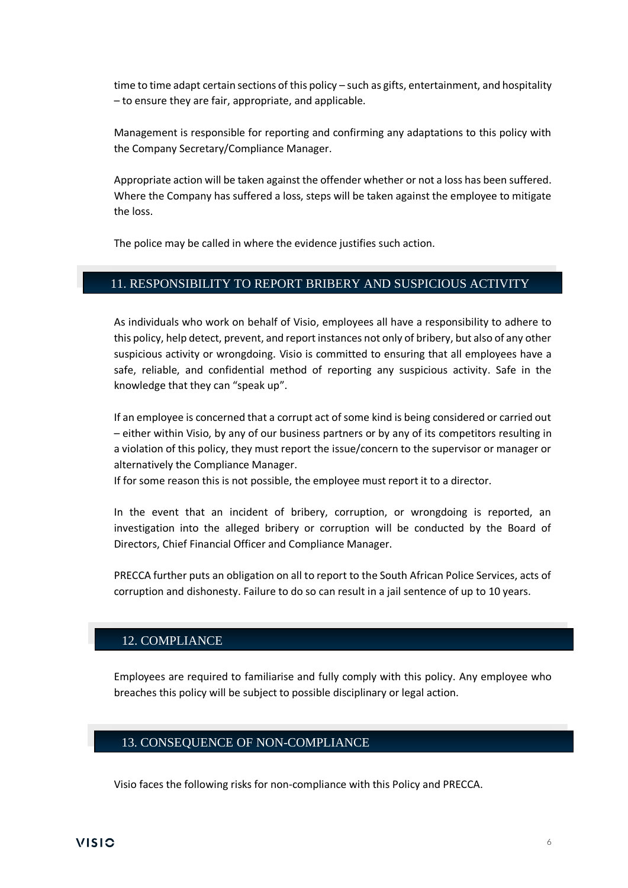time to time adapt certain sections of this policy – such as gifts, entertainment, and hospitality – to ensure they are fair, appropriate, and applicable.

Management is responsible for reporting and confirming any adaptations to this policy with the Company Secretary/Compliance Manager.

Appropriate action will be taken against the offender whether or not a loss has been suffered. Where the Company has suffered a loss, steps will be taken against the employee to mitigate the loss.

The police may be called in where the evidence justifies such action.

# 11. RESPONSIBILITY TO REPORT BRIBERY AND SUSPICIOUS ACTIVITY

As individuals who work on behalf of Visio, employees all have a responsibility to adhere to this policy, help detect, prevent, and report instances not only of bribery, but also of any other suspicious activity or wrongdoing. Visio is committed to ensuring that all employees have a safe, reliable, and confidential method of reporting any suspicious activity. Safe in the knowledge that they can "speak up".

If an employee is concerned that a corrupt act of some kind is being considered or carried out – either within Visio, by any of our business partners or by any of its competitors resulting in a violation of this policy, they must report the issue/concern to the supervisor or manager or alternatively the Compliance Manager.

If for some reason this is not possible, the employee must report it to a director.

In the event that an incident of bribery, corruption, or wrongdoing is reported, an investigation into the alleged bribery or corruption will be conducted by the Board of Directors, Chief Financial Officer and Compliance Manager.

PRECCA further puts an obligation on all to report to the South African Police Services, acts of corruption and dishonesty. Failure to do so can result in a jail sentence of up to 10 years.

## 12. COMPLIANCE

Employees are required to familiarise and fully comply with this policy. Any employee who breaches this policy will be subject to possible disciplinary or legal action.

# 13. CONSEQUENCE OF NON-COMPLIANCE

Visio faces the following risks for non-compliance with this Policy and PRECCA.